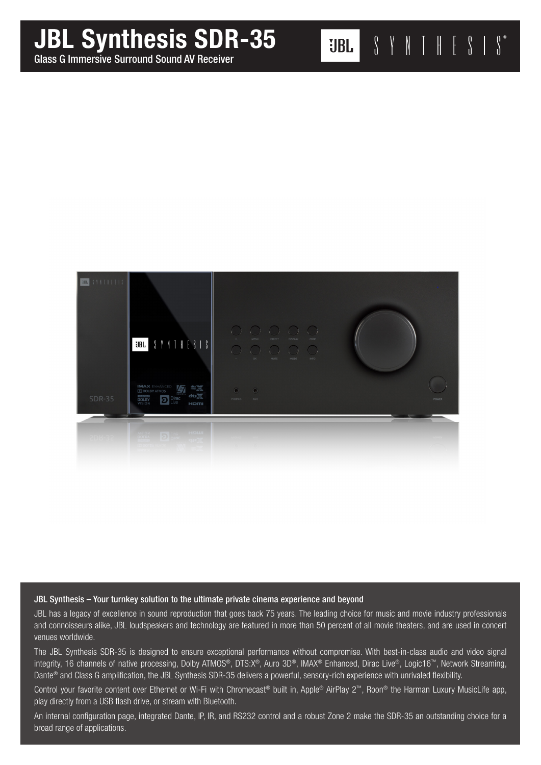# JBL Synthesis SDR-35

Glass G Immersive Surround Sound AV Receiver



# JBL Synthesis – Your turnkey solution to the ultimate private cinema experience and beyond

JBL has a legacy of excellence in sound reproduction that goes back 75 years. The leading choice for music and movie industry professionals and connoisseurs alike, JBL loudspeakers and technology are featured in more than 50 percent of all movie theaters, and are used in concert venues worldwide.

The JBL Synthesis SDR-35 is designed to ensure exceptional performance without compromise. With best-in-class audio and video signal integrity, 16 channels of native processing, Dolby ATMOS®, DTS:X®, Auro 3D®, IMAX® Enhanced, Dirac Live®, Logic16™, Network Streaming, Dante® and Class G amplification, the JBL Synthesis SDR-35 delivers a powerful, sensory-rich experience with unrivaled flexibility.

Control your favorite content over Ethernet or Wi-Fi with Chromecast® built in, Apple® AirPlay 2™, Roon® the Harman Luxury MusicLife app, play directly from a USB flash drive, or stream with Bluetooth.

An internal configuration page, integrated Dante, IP, IR, and RS232 control and a robust Zone 2 make the SDR-35 an outstanding choice for a broad range of applications.